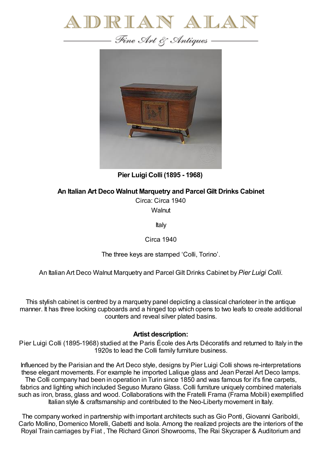



**Pier Luigi Colli (1895 - 1968)**

**An Italian Art Deco Walnut Marquetry and Parcel Gilt Drinks Cabinet**

Circa: Circa 1940

**Walnut** 

Italy

Circa 1940

The three keys are stamped 'Colli, Torino'.

An Italian Art Deco Walnut Marquetry and Parcel Gilt Drinks Cabinet by *Pier Luigi Colli.*

This stylish cabinet is centred by a marquetry panel depicting a classical charioteer in the antique manner. It has three locking cupboards and a hinged top which opens to two leafs to create additional counters and reveal silver plated basins.

## **Artist description:**

Pier Luigi Colli (1895-1968) studied at the Paris École des Arts Décoratifs and returned to Italy in the 1920s to lead the Colli family furniture business.

Influenced by the Parisian and the Art Deco style, designs by Pier Luigi Colli shows re-interpretations these elegant movements. For example he imported Lalique glass and Jean Perzel Art Deco lamps. The Colli company had been in operation in Turin since 1850 and was famous for it's fine carpets, fabrics and lighting which included Seguso Murano Glass. Colli furniture uniquely combined materials such as iron, brass, glass and wood. Collaborations with the Fratelli Frama (Frama Mobili) exemplified Italian style & craftsmanship and contributed to the Neo-Liberty movement in Italy.

The company worked in partnership with important architects such as Gio Ponti, Giovanni Gariboldi, Carlo Mollino, Domenico Morelli, Gabetti and Isola. Among the realized projects are the interiors of the Royal Train carriages by Fiat , The Richard Ginori Showrooms, The Rai Skycraper & Auditorium and